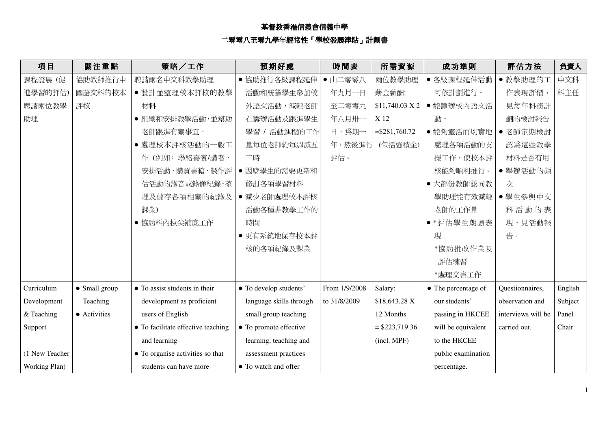## 基督教香港信義會信義中學<br>二零零八至零九學年經常性「學校發展津貼 「學校發展津貼」計劃書

| 項目             | 關注重點          | 策略/工作                              | 預期好處                    | 時間表           | 所需資源             | 成功準則                | 評估方法               | 負責人     |
|----------------|---------------|------------------------------------|-------------------------|---------------|------------------|---------------------|--------------------|---------|
| 課程發展 (促        | 協助教師推行中       | 聘請兩名中文科教學助理                        | ● 協助推行各級課程延伸            | ● 由二零零八       | 兩位教學助理           | ● 各級課程延伸活動          | ● 教學助理的工           | 中文科     |
| 進學習的評估)        | 國語文科的校本       | ● 設計並整理校本評核的教學                     | 活動和統籌學生參加校              | 年九月一日         | 薪金薪酬:            | 可依計劃進行。             | 作表現評價,             | 科主任     |
| 聘請兩位教學         | 評核            | 材料                                 | 外語文活動,減輕老師              | 至二零零九         | \$11,740.03 X 2  | ● 能籌辦校內語文活          | 見每年科務計             |         |
| 助理             |               | ● 組織和安排教學活動, 並幫助                   | 在籌辦活動及跟進學生              | 年八月卅一         | X 12             | 動。                  | 劃的檢討報告             |         |
|                |               | 老師跟進有關事宜。                          | 學習 / 活動進程的工作            | 日,爲期一         | $= $281,760.72$  | ● 能夠靈活而切實地          | ● 老師定期檢討           |         |
|                |               | ● 處理校本評核活動的一般工                     | 量每位老師約每週減五              | 年,然後進行        | (包括強積金)          | 處理各項活動的支            | 認爲這些教學             |         |
|                |               | 作(例如:聯絡嘉賓/講者、                      | 工時                      | 評估。           |                  | 援工作,使校本評            | 材料是否有用             |         |
|                |               | 安排活動、購買書籍、製作評                      | ● 因應學生的需要更新和            |               |                  | 核能夠順利推行。            | ● 舉辦活動的頻           |         |
|                |               | 估活動的錄音或錄像紀錄、整                      | 修訂各項學習材料                |               |                  | ● 大部份教師認同教          | 次                  |         |
|                |               | 理及儲存各項相關的紀錄及                       | ● 減少老師處理校本評核            |               |                  | 學助理能有效減輕            | ● 學生參與中文           |         |
|                |               | 課業)                                | 活動各種非教學工作的              |               |                  | 老師的工作量              | 科活動的表              |         |
|                |               | ● 協助科內拔尖補底工作                       | 時間                      |               |                  | • *評估學生朗讀表          | 現,見活動報             |         |
|                |               |                                    | ● 更有系統地保存校本評            |               |                  | 現                   | 告。                 |         |
|                |               |                                    | 核的各項紀錄及課業               |               |                  | *協助批改作業及            |                    |         |
|                |               |                                    |                         |               |                  | 評估練習                |                    |         |
|                |               |                                    |                         |               |                  | *處理文書工作             |                    |         |
| Curriculum     | • Small group | • To assist students in their      | • To develop students'  | From 1/9/2008 | Salary:          | • The percentage of | Questionnaires,    | English |
| Development    | Teaching      | development as proficient          | language skills through | to 31/8/2009  | \$18,643.28 X    | our students'       | observation and    | Subject |
| & Teaching     | • Activities  | users of English                   | small group teaching    |               | 12 Months        | passing in HKCEE    | interviews will be | Panel   |
| Support        |               | • To facilitate effective teaching | • To promote effective  |               | $=$ \$223,719.36 | will be equivalent  | carried out.       | Chair   |
|                |               | and learning                       | learning, teaching and  |               | (incl. MPF)      | to the HKCEE        |                    |         |
| (1 New Teacher |               | • To organise activities so that   | assessment practices    |               |                  | public examination  |                    |         |
| Working Plan)  |               | students can have more             | • To watch and offer    |               |                  | percentage.         |                    |         |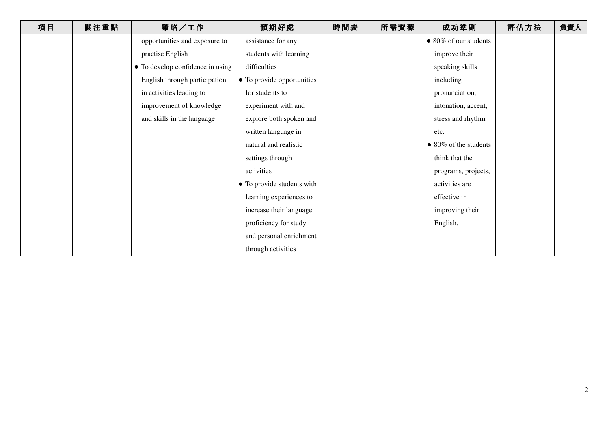| 項目 | 關注重點 | 策略/工作                            | 預期好處                       | 時間表 | 所需資源 | 成功準則                          | 評估方法 | 負責人 |
|----|------|----------------------------------|----------------------------|-----|------|-------------------------------|------|-----|
|    |      | opportunities and exposure to    | assistance for any         |     |      | $\bullet$ 80% of our students |      |     |
|    |      | practise English                 | students with learning     |     |      | improve their                 |      |     |
|    |      | • To develop confidence in using | difficulties               |     |      | speaking skills               |      |     |
|    |      | English through participation    | • To provide opportunities |     |      | including                     |      |     |
|    |      | in activities leading to         | for students to            |     |      | pronunciation,                |      |     |
|    |      | improvement of knowledge         | experiment with and        |     |      | intonation, accent,           |      |     |
|    |      | and skills in the language       | explore both spoken and    |     |      | stress and rhythm             |      |     |
|    |      |                                  | written language in        |     |      | etc.                          |      |     |
|    |      |                                  | natural and realistic      |     |      | $\bullet$ 80% of the students |      |     |
|    |      |                                  | settings through           |     |      | think that the                |      |     |
|    |      |                                  | activities                 |     |      | programs, projects,           |      |     |
|    |      |                                  | • To provide students with |     |      | activities are                |      |     |
|    |      |                                  | learning experiences to    |     |      | effective in                  |      |     |
|    |      |                                  | increase their language    |     |      | improving their               |      |     |
|    |      |                                  | proficiency for study      |     |      | English.                      |      |     |
|    |      |                                  | and personal enrichment    |     |      |                               |      |     |
|    |      |                                  | through activities         |     |      |                               |      |     |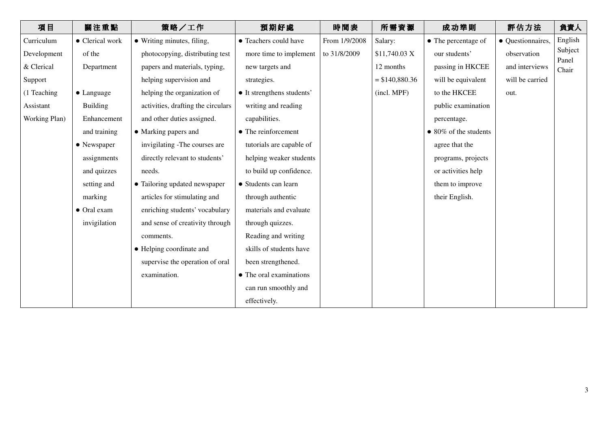| 項目            | 關注重點               | 策略/工作                              | 預期好處                       | 時間表           | 所需資源            | 成功準則                  | 評估方法              | 負責人              |
|---------------|--------------------|------------------------------------|----------------------------|---------------|-----------------|-----------------------|-------------------|------------------|
| Curriculum    | • Clerical work    | • Writing minutes, filing,         | • Teachers could have      | From 1/9/2008 | Salary:         | • The percentage of   | • Questionnaires, | English          |
| Development   | of the             | photocopying, distributing test    | more time to implement     | to 31/8/2009  | \$11,740.03 X   | our students'         | observation       | Subject<br>Panel |
| & Clerical    | Department         | papers and materials, typing,      | new targets and            |               | 12 months       | passing in HKCEE      | and interviews    | Chair            |
| Support       |                    | helping supervision and            | strategies.                |               | $= $140,880.36$ | will be equivalent    | will be carried   |                  |
| (1 Teaching   | $\bullet$ Language | helping the organization of        | • It strengthens students' |               | (incl. MPF)     | to the HKCEE          | out.              |                  |
| Assistant     | <b>Building</b>    | activities, drafting the circulars | writing and reading        |               |                 | public examination    |                   |                  |
| Working Plan) | Enhancement        | and other duties assigned.         | capabilities.              |               |                 | percentage.           |                   |                  |
|               | and training       | • Marking papers and               | • The reinforcement        |               |                 | • 80% of the students |                   |                  |
|               | • Newspaper        | invigilating -The courses are      | tutorials are capable of   |               |                 | agree that the        |                   |                  |
|               | assignments        | directly relevant to students'     | helping weaker students    |               |                 | programs, projects    |                   |                  |
|               | and quizzes        | needs.                             | to build up confidence.    |               |                 | or activities help    |                   |                  |
|               | setting and        | • Tailoring updated newspaper      | • Students can learn       |               |                 | them to improve       |                   |                  |
|               | marking            | articles for stimulating and       | through authentic          |               |                 | their English.        |                   |                  |
|               | • Oral exam        | enriching students' vocabulary     | materials and evaluate     |               |                 |                       |                   |                  |
|               | invigilation       | and sense of creativity through    | through quizzes.           |               |                 |                       |                   |                  |
|               |                    | comments.                          | Reading and writing        |               |                 |                       |                   |                  |
|               |                    | • Helping coordinate and           | skills of students have    |               |                 |                       |                   |                  |
|               |                    | supervise the operation of oral    | been strengthened.         |               |                 |                       |                   |                  |
|               |                    | examination.                       | • The oral examinations    |               |                 |                       |                   |                  |
|               |                    |                                    | can run smoothly and       |               |                 |                       |                   |                  |
|               |                    |                                    | effectively.               |               |                 |                       |                   |                  |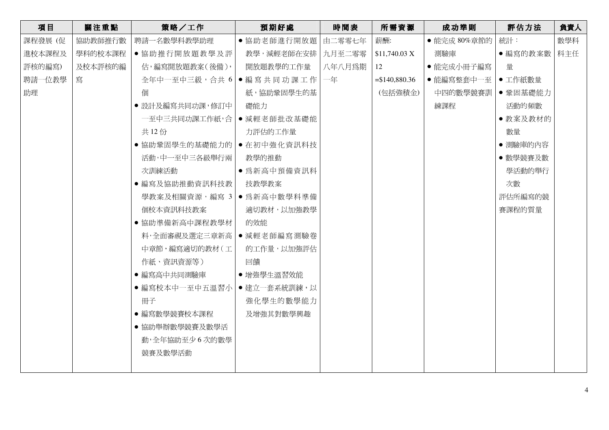| 項目      | 關注重點    | 策略/工作                             | 預期好處               | 時間表    | 所需資源            | 成功準則               | 評估方法           | 負責人 |
|---------|---------|-----------------------------------|--------------------|--------|-----------------|--------------------|----------------|-----|
| 課程發展 (促 | 協助教師推行數 | 聘請一名數學科教學助理                       | ● 協助老師進行開放題 由二零零七年 |        | 薪酬:             | ● 能完成 80%章節的       | 統計:            | 數學科 |
| 進校本課程及  | 學科的校本課程 | ● 協助推行開放題教學及評                     | 教學,減輕老師在安排         | 九月至二零零 | \$11,740.03 X   | 測驗庫                | ● 編寫的教案數   科主任 |     |
| 評核的編寫)  | 及校本評核的編 | 估,編寫開放題教案(後備),                    | 開放題教學的工作量          | 八年八月爲期 | 12              | ● 能完成小冊子編寫         | 量              |     |
| 聘請一位教學  | 寫       | 全年中一至中三級,合共 6   ● 編 寫 共 同 功 課 工 作 |                    | 一年     | $= $140,880.36$ | ● 能編寫整套中一至 ● 工作紙數量 |                |     |
| 助理      |         | 個                                 | 紙,協助鞏固學生的基         |        | (包括強積金)         | 中四的數學競賽訓           | ● 鞏固基礎能力       |     |
|         |         | • 設計及編寫共同功課, 修訂中                  | 礎能力                |        |                 | 練課程                | 活動的頻數          |     |
|         |         | 一至中三共同功課工作紙,合   ● 減輕老師批改基礎能       |                    |        |                 |                    | ● 教案及教材的       |     |
|         |         | 共 12 份                            | 力評估的工作量            |        |                 |                    | 數量             |     |
|         |         | ● 協助鞏固學生的基礎能力的   ● 在初中強化資訊科技      |                    |        |                 |                    | ● 測驗庫的內容       |     |
|         |         | 活動,中一至中三各級舉行兩                     | 教學的推動              |        |                 |                    | ● 數學競賽及數       |     |
|         |         | 次訓練活動                             | ● 為新高中預備資訊科        |        |                 |                    | 學活動的舉行         |     |
|         |         | ● 編寫及協助推動資訊科技教                    | 技教學教案              |        |                 |                    | 次數             |     |
|         |         | 學教案及相關資源,編寫 3   ● 為新高中數學科準備       |                    |        |                 |                    | 評估所編寫的競        |     |
|         |         | 個校本資訊科技教案                         | 適切教材,以加強教學         |        |                 |                    | 賽課程的質量         |     |
|         |         | ●協助準備新高中課程教學材                     | 的效能                |        |                 |                    |                |     |
|         |         | 料,全面審視及選定三章新高   ● 減輕老師編寫測驗卷       |                    |        |                 |                    |                |     |
|         |         | 中章節,編寫適切的教材(工)                    | 的工作量,以加強評估         |        |                 |                    |                |     |
|         |         | 作紙、資訊資源等)                         | 回饋                 |        |                 |                    |                |     |
|         |         | ● 編寫高中共同測驗庫                       | ● 增強學生溫習效能         |        |                 |                    |                |     |
|         |         | ● 編寫校本中一至中五溫習小   ● 建立一套系統訓練,以     |                    |        |                 |                    |                |     |
|         |         | 冊子                                | 強化學生的數學能力          |        |                 |                    |                |     |
|         |         | ● 編寫數學競賽校本課程                      | 及增強其對數學興趣          |        |                 |                    |                |     |
|         |         | ● 協助舉辦數學競賽及數學活                    |                    |        |                 |                    |                |     |
|         |         | 動,全年協助至少6次的數學                     |                    |        |                 |                    |                |     |
|         |         | 競賽及數學活動                           |                    |        |                 |                    |                |     |
|         |         |                                   |                    |        |                 |                    |                |     |